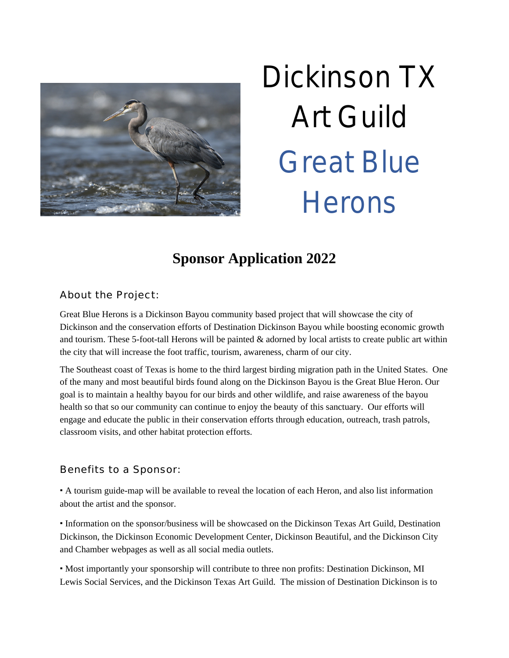

# Dickinson TX Art Guild Great Blue **Herons**

# **Sponsor Application 2022**

About the Project:

Great Blue Herons is a Dickinson Bayou community based project that will showcase the city of Dickinson and the conservation efforts of Destination Dickinson Bayou while boosting economic growth and tourism. These 5-foot-tall Herons will be painted & adorned by local artists to create public art within the city that will increase the foot traffic, tourism, awareness, charm of our city.

The Southeast coast of Texas is home to the third largest birding migration path in the United States. One of the many and most beautiful birds found along on the Dickinson Bayou is the Great Blue Heron. Our goal is to maintain a healthy bayou for our birds and other wildlife, and raise awareness of the bayou health so that so our community can continue to enjoy the beauty of this sanctuary. Our efforts will engage and educate the public in their conservation efforts through education, outreach, trash patrols, classroom visits, and other habitat protection efforts.

## Benefits to a Sponsor:

· A tourism guide-map will be available to reveal the location of each Heron, and also list information about the artist and the sponsor.

· Information on the sponsor/business will be showcased on the Dickinson Texas Art Guild, Destination Dickinson, the Dickinson Economic Development Center, Dickinson Beautiful, and the Dickinson City and Chamber webpages as well as all social media outlets.

· Most importantly your sponsorship will contribute to three non profits: Destination Dickinson, MI Lewis Social Services, and the Dickinson Texas Art Guild. The mission of Destination Dickinson is to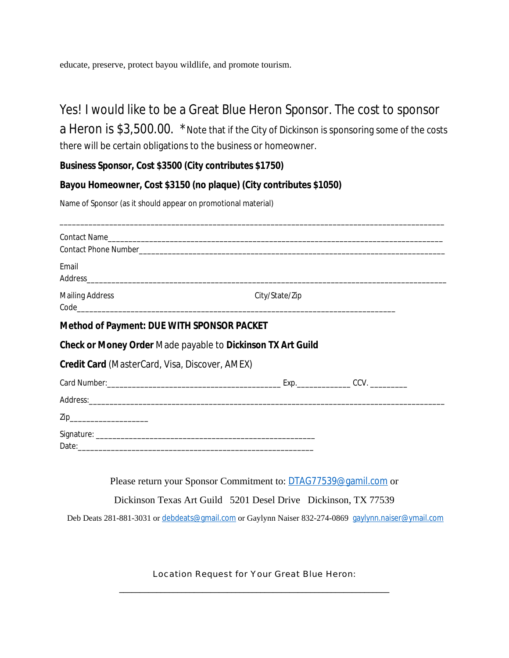educate, preserve, protect bayou wildlife, and promote tourism.

## Yes! I would like to be a Great Blue Heron Sponsor. The cost to sponsor

a Heron is \$3,500.00. \*Note that if the City of Dickinson is sponsoring some of the costs there will be certain obligations to the business or homeowner.

### **Business Sponsor, Cost \$3500 (City contributes \$1750)**

### **Bayou Homeowner, Cost \$3150 (no plaque) (City contributes \$1050)**

Name of Sponsor (as it should appear on promotional material)

| Email                                                 |                                                             |
|-------------------------------------------------------|-------------------------------------------------------------|
| <b>Mailing Address</b>                                | City/State/Zip                                              |
| <b>Method of Payment: DUE WITH SPONSOR PACKET</b>     |                                                             |
|                                                       | Check or Money Order Made payable to Dickinson TX Art Guild |
| <b>Credit Card</b> (MasterCard, Visa, Discover, AMEX) |                                                             |
|                                                       |                                                             |
|                                                       |                                                             |
| Zip__________________________                         |                                                             |
|                                                       |                                                             |
|                                                       |                                                             |

Please return your Sponsor Commitment to: [DTAG77539@gamil.com](mailto:DTAG77539@gamil.com) or

Dickinson Texas Art Guild 5201 Desel Drive Dickinson, TX 77539

Deb Deats 281-881-3031 or [debdeats@gmail.com](mailto:debdeats@gmail.com) or Gaylynn Naiser 832-274-0869 [gaylynn.naiser@ymail.com](mailto:gaylynn.naiser@ymail.com)

Location Request for Your Great Blue Heron: \_\_\_\_\_\_\_\_\_\_\_\_\_\_\_\_\_\_\_\_\_\_\_\_\_\_\_\_\_\_\_\_\_\_\_\_\_\_\_\_\_\_\_\_\_\_\_\_\_\_\_\_\_\_\_\_\_\_\_\_\_\_\_\_\_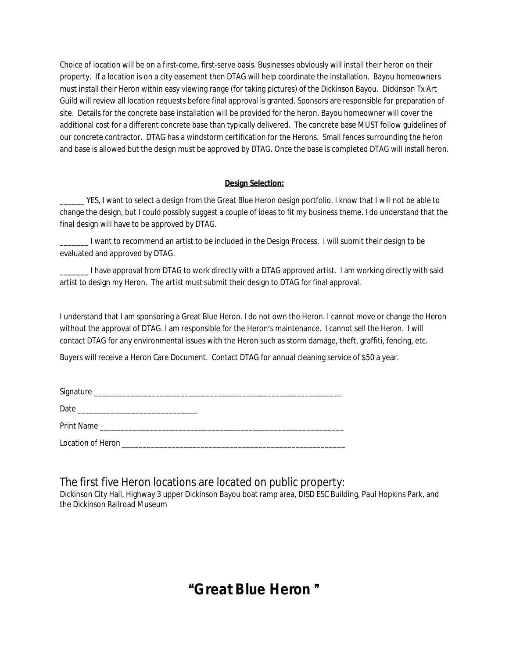Choice of location will be on a first-come, first-serve basis. Businesses obviously will install their heron on their property. If a location is on a city easement then DTAG will help coordinate the installation. Bayou homeowners must install their Heron within easy viewing range (for taking pictures) of the Dickinson Bayou. Dickinson Tx Art Guild will review all location requests before final approval is granted. Sponsors are responsible for preparation of site. Details for the concrete base installation will be provided for the heron. Bayou homeowner will cover the additional cost for a different concrete base than typically delivered. The concrete base MUST follow guidelines of our concrete contractor. DTAG has a windstorm certification for the Herons. Small fences surrounding the heron and base is allowed but the design must be approved by DTAG. Once the base is completed DTAG will install heron.

#### **Design Selection:**

\_\_\_\_\_\_ YES, I want to select a design from the Great Blue Heron design portfolio. I know that I will not be able to change the design, but I could possibly suggest a couple of ideas to fit my business theme. I do understand that the final design will have to be approved by DTAG.

\_\_\_\_\_\_\_ I want to recommend an artist to be included in the Design Process. I will submit their design to be evaluated and approved by DTAG.

\_\_\_\_\_\_\_ I have approval from DTAG to work directly with a DTAG approved artist. I am working directly with said artist to design my Heron. The artist must submit their design to DTAG for final approval.

I understand that I am sponsoring a Great Blue Heron. I do not own the Heron. I cannot move or change the Heron without the approval of DTAG. I am responsible for the Heron's maintenance. I cannot sell the Heron. I will contact DTAG for any environmental issues with the Heron such as storm damage, theft, graffiti, fencing, etc.

Buyers will receive a Heron Care Document. Contact DTAG for annual cleaning service of \$50 a year.

| Print Name Lawrence and the contract of the contract of the contract of the contract of the contract of the contract of the contract of the contract of the contract of the contract of the contract of the contract of the co |
|--------------------------------------------------------------------------------------------------------------------------------------------------------------------------------------------------------------------------------|
|                                                                                                                                                                                                                                |

The first five Heron locations are located on public property:

Dickinson City Hall, Highway 3 upper Dickinson Bayou boat ramp area, DISD ESC Building, Paul Hopkins Park, and the Dickinson Railroad Museum

## "**Great Blue Heron** "